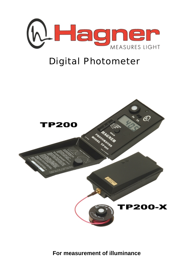

# Digital Photometer



**For measurement of illuminance**